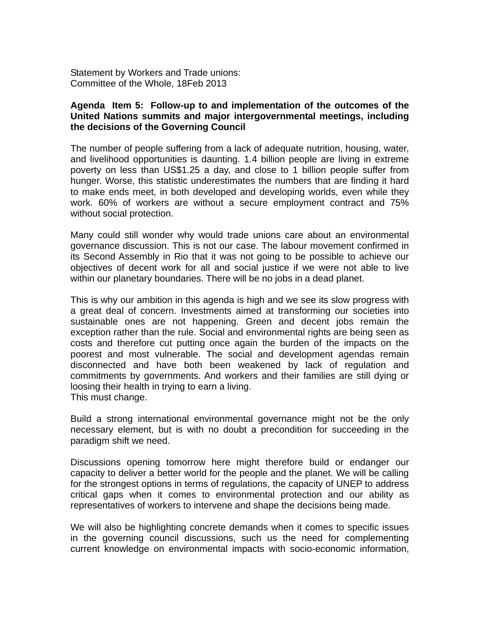Statement by Workers and Trade unions: Committee of the Whole, 18Feb 2013

## **Agenda Item 5: Follow-up to and implementation of the outcomes of the United Nations summits and major intergovernmental meetings, including the decisions of the Governing Council**

The number of people suffering from a lack of adequate nutrition, housing, water, and livelihood opportunities is daunting. 1.4 billion people are living in extreme poverty on less than US\$1.25 a day, and close to 1 billion people suffer from hunger. Worse, this statistic underestimates the numbers that are finding it hard to make ends meet, in both developed and developing worlds, even while they work. 60% of workers are without a secure employment contract and 75% without social protection.

Many could still wonder why would trade unions care about an environmental governance discussion. This is not our case. The labour movement confirmed in its Second Assembly in Rio that it was not going to be possible to achieve our objectives of decent work for all and social justice if we were not able to live within our planetary boundaries. There will be no jobs in a dead planet.

This is why our ambition in this agenda is high and we see its slow progress with a great deal of concern. Investments aimed at transforming our societies into sustainable ones are not happening. Green and decent jobs remain the exception rather than the rule. Social and environmental rights are being seen as costs and therefore cut putting once again the burden of the impacts on the poorest and most vulnerable. The social and development agendas remain disconnected and have both been weakened by lack of regulation and commitments by governments. And workers and their families are still dying or loosing their health in trying to earn a living. This must change.

Build a strong international environmental governance might not be the only necessary element, but is with no doubt a precondition for succeeding in the paradigm shift we need.

Discussions opening tomorrow here might therefore build or endanger our capacity to deliver a better world for the people and the planet. We will be calling for the strongest options in terms of regulations, the capacity of UNEP to address critical gaps when it comes to environmental protection and our ability as representatives of workers to intervene and shape the decisions being made.

We will also be highlighting concrete demands when it comes to specific issues in the governing council discussions, such us the need for complementing current knowledge on environmental impacts with socio-economic information,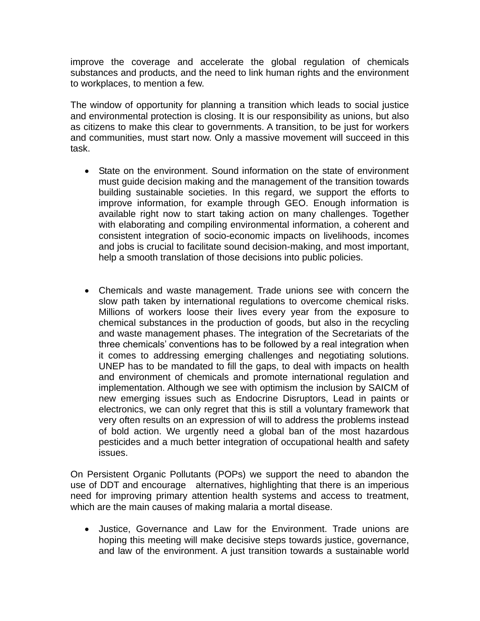improve the coverage and accelerate the global regulation of chemicals substances and products, and the need to link human rights and the environment to workplaces, to mention a few.

The window of opportunity for planning a transition which leads to social justice and environmental protection is closing. It is our responsibility as unions, but also as citizens to make this clear to governments. A transition, to be just for workers and communities, must start now. Only a massive movement will succeed in this task.

- State on the environment. Sound information on the state of environment must guide decision making and the management of the transition towards building sustainable societies. In this regard, we support the efforts to improve information, for example through GEO. Enough information is available right now to start taking action on many challenges. Together with elaborating and compiling environmental information, a coherent and consistent integration of socio-economic impacts on livelihoods, incomes and jobs is crucial to facilitate sound decision-making, and most important, help a smooth translation of those decisions into public policies.
- Chemicals and waste management. Trade unions see with concern the slow path taken by international regulations to overcome chemical risks. Millions of workers loose their lives every year from the exposure to chemical substances in the production of goods, but also in the recycling and waste management phases. The integration of the Secretariats of the three chemicals' conventions has to be followed by a real integration when it comes to addressing emerging challenges and negotiating solutions. UNEP has to be mandated to fill the gaps, to deal with impacts on health and environment of chemicals and promote international regulation and implementation. Although we see with optimism the inclusion by SAICM of new emerging issues such as Endocrine Disruptors, Lead in paints or electronics, we can only regret that this is still a voluntary framework that very often results on an expression of will to address the problems instead of bold action. We urgently need a global ban of the most hazardous pesticides and a much better integration of occupational health and safety issues.

On Persistent Organic Pollutants (POPs) we support the need to abandon the use of DDT and encourage alternatives, highlighting that there is an imperious need for improving primary attention health systems and access to treatment, which are the main causes of making malaria a mortal disease.

 Justice, Governance and Law for the Environment. Trade unions are hoping this meeting will make decisive steps towards justice, governance, and law of the environment. A just transition towards a sustainable world